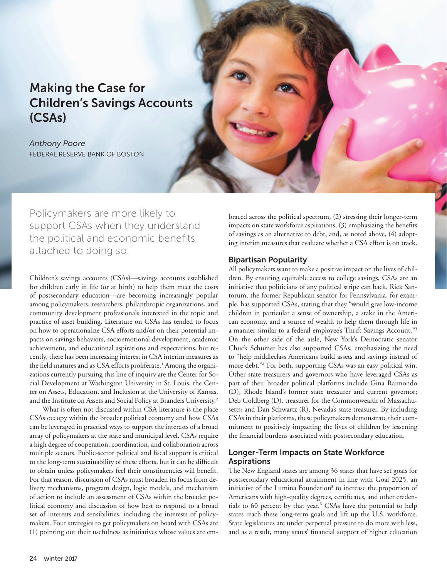# Making the Case for Children's Savings Accounts (CSAs)

*Anthony Poore* FEDERAL RESERVE BANK OF BOSTON

Policymakers are more likely to support CSAs when they understand the political and economic benefits attached to doing so.

Children's savings accounts (CSAs)—savings accounts established for children early in life (or at birth) to help them meet the costs of postsecondary education—are becoming increasingly popular among policymakers, researchers, philanthropic organizations, and community development professionals interested in the topic and practice of asset building. Literature on CSAs has tended to focus on how to operationalize CSA efforts and/or on their potential impacts on savings behaviors, socioemotional development, academic achievement, and educational aspirations and expectations, but recently, there has been increasing interest in CSA interim measures as the field matures and as CSA efforts proliferate.<sup>1</sup> Among the organizations currently pursuing this line of inquiry are the Center for Social Development at Washington University in St. Louis, the Center on Assets, Education, and Inclusion at the University of Kansas, and the Institute on Assets and Social Policy at Brandeis University.<sup>2</sup>

What is often not discussed within CSA literature is the place CSAs occupy within the broader political economy and how CSAs can be leveraged in practical ways to support the interests of a broad array of policymakers at the state and municipal level. CSAs require a high degree of cooperation, coordination, and collaboration across multiple sectors. Public-sector political and fiscal support is critical to the long-term sustainability of these efforts, but it can be difficult to obtain unless policymakers feel their constituencies will benefit. For that reason, discussion of CSAs must broaden its focus from delivery mechanisms, program design, logic models, and mechanism of action to include an assessment of CSAs within the broader political economy and discussion of how best to respond to a broad set of interests and sensibilities, including the interests of policymakers. Four strategies to get policymakers on board with CSAs are (1) pointing out their usefulness as initiatives whose values are embraced across the political spectrum, (2) stressing their longer-term impacts on state workforce aspirations, (3) emphasizing the benefits of savings as an alternative to debt, and, as noted above, (4) adopting interim measures that evaluate whether a CSA effort is on track.

## Bipartisan Popularity

All policymakers want to make a positive impact on the lives of children. By ensuring equitable access to college savings, CSAs are an initiative that politicians of any political stripe can back. Rick Santorum, the former Republican senator for Pennsylvania, for example, has supported CSAs, stating that they "would give low-income children in particular a sense of ownership, a stake in the American economy, and a source of wealth to help them through life in a manner similar to a federal employee's Thrift Savings Account."<sup>3</sup> On the other side of the aisle, New York's Democratic senator Chuck Schumer has also supported CSAs, emphasizing the need to "help middleclass Americans build assets and savings instead of more debt."<sup>4</sup> For both, supporting CSAs was an easy political win. Other state treasurers and governors who have leveraged CSAs as part of their broader political platforms include Gina Raimondo (D), Rhode Island's former state treasurer and current governor; Deb Goldberg (D), treasurer for the Commonwealth of Massachusetts; and Dan Schwartz (R), Nevada's state treasurer. By including CSAs in their platforms, these policymakers demonstrate their commitment to positively impacting the lives of children by lessening the financial burdens associated with postsecondary education.

# Longer-Term Impacts on State Workforce Aspirations

The New England states are among 36 states that have set goals for postsecondary educational attainment in line with Goal 2025, an initiative of the Lumina Foundation<sup>5</sup> to increase the proportion of Americans with high-quality degrees, certificates, and other credentials to 60 percent by that year.<sup>6</sup> CSAs have the potential to help states reach these long-term goals and lift up the U.S. workforce. State legislatures are under perpetual pressure to do more with less, and as a result, many states' financial support of higher education